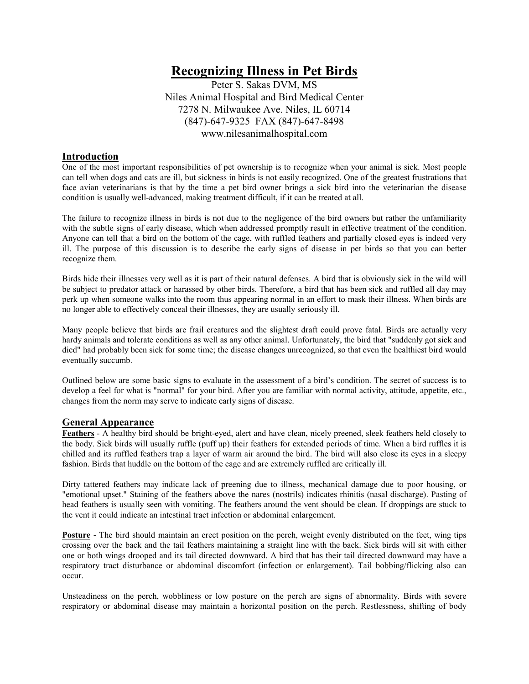# **Recognizing Illness in Pet Birds**

Peter S. Sakas DVM, MS Niles Animal Hospital and Bird Medical Center 7278 N. Milwaukee Ave. Niles, IL 60714 (847)-647-9325 FAX (847)-647-8498 www.nilesanimalhospital.com

# **Introduction**

One of the most important responsibilities of pet ownership is to recognize when your animal is sick. Most people can tell when dogs and cats are ill, but sickness in birds is not easily recognized. One of the greatest frustrations that face avian veterinarians is that by the time a pet bird owner brings a sick bird into the veterinarian the disease condition is usually well-advanced, making treatment difficult, if it can be treated at all.

The failure to recognize illness in birds is not due to the negligence of the bird owners but rather the unfamiliarity with the subtle signs of early disease, which when addressed promptly result in effective treatment of the condition. Anyone can tell that a bird on the bottom of the cage, with ruffled feathers and partially closed eyes is indeed very ill. The purpose of this discussion is to describe the early signs of disease in pet birds so that you can better recognize them.

Birds hide their illnesses very well as it is part of their natural defenses. A bird that is obviously sick in the wild will be subject to predator attack or harassed by other birds. Therefore, a bird that has been sick and ruffled all day may perk up when someone walks into the room thus appearing normal in an effort to mask their illness. When birds are no longer able to effectively conceal their illnesses, they are usually seriously ill.

Many people believe that birds are frail creatures and the slightest draft could prove fatal. Birds are actually very hardy animals and tolerate conditions as well as any other animal. Unfortunately, the bird that "suddenly got sick and died" had probably been sick for some time; the disease changes unrecognized, so that even the healthiest bird would eventually succumb.

Outlined below are some basic signs to evaluate in the assessment of a bird's condition. The secret of success is to develop a feel for what is "normal" for your bird. After you are familiar with normal activity, attitude, appetite, etc., changes from the norm may serve to indicate early signs of disease.

## **General Appearance**

**Feathers** - A healthy bird should be bright-eyed, alert and have clean, nicely preened, sleek feathers held closely to the body. Sick birds will usually ruffle (puff up) their feathers for extended periods of time. When a bird ruffles it is chilled and its ruffled feathers trap a layer of warm air around the bird. The bird will also close its eyes in a sleepy fashion. Birds that huddle on the bottom of the cage and are extremely ruffled are critically ill.

Dirty tattered feathers may indicate lack of preening due to illness, mechanical damage due to poor housing, or "emotional upset." Staining of the feathers above the nares (nostrils) indicates rhinitis (nasal discharge). Pasting of head feathers is usually seen with vomiting. The feathers around the vent should be clean. If droppings are stuck to the vent it could indicate an intestinal tract infection or abdominal enlargement.

**Posture** - The bird should maintain an erect position on the perch, weight evenly distributed on the feet, wing tips crossing over the back and the tail feathers maintaining a straight line with the back. Sick birds will sit with either one or both wings drooped and its tail directed downward. A bird that has their tail directed downward may have a respiratory tract disturbance or abdominal discomfort (infection or enlargement). Tail bobbing/flicking also can occur.

Unsteadiness on the perch, wobbliness or low posture on the perch are signs of abnormality. Birds with severe respiratory or abdominal disease may maintain a horizontal position on the perch. Restlessness, shifting of body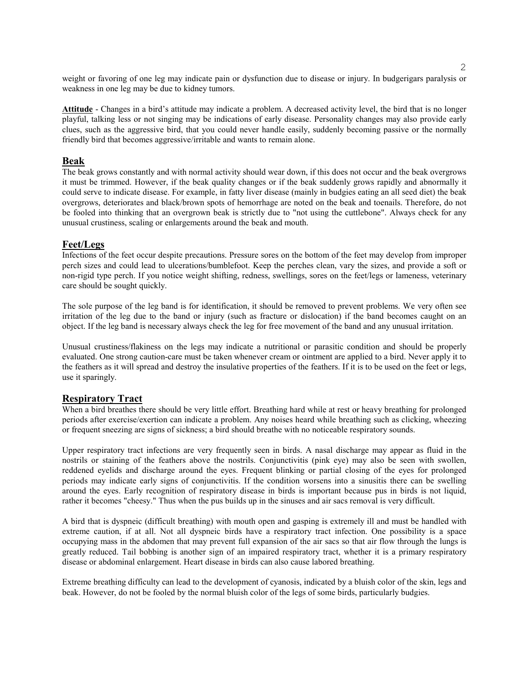weight or favoring of one leg may indicate pain or dysfunction due to disease or injury. In budgerigars paralysis or weakness in one leg may be due to kidney tumors.

**Attitude** - Changes in a bird's attitude may indicate a problem. A decreased activity level, the bird that is no longer playful, talking less or not singing may be indications of early disease. Personality changes may also provide early clues, such as the aggressive bird, that you could never handle easily, suddenly becoming passive or the normally friendly bird that becomes aggressive/irritable and wants to remain alone.

### **Beak**

The beak grows constantly and with normal activity should wear down, if this does not occur and the beak overgrows it must be trimmed. However, if the beak quality changes or if the beak suddenly grows rapidly and abnormally it could serve to indicate disease. For example, in fatty liver disease (mainly in budgies eating an all seed diet) the beak overgrows, deteriorates and black/brown spots of hemorrhage are noted on the beak and toenails. Therefore, do not be fooled into thinking that an overgrown beak is strictly due to "not using the cuttlebone". Always check for any unusual crustiness, scaling or enlargements around the beak and mouth.

#### **Feet/Legs**

Infections of the feet occur despite precautions. Pressure sores on the bottom of the feet may develop from improper perch sizes and could lead to ulcerations/bumblefoot. Keep the perches clean, vary the sizes, and provide a soft or non-rigid type perch. If you notice weight shifting, redness, swellings, sores on the feet/legs or lameness, veterinary care should be sought quickly.

The sole purpose of the leg band is for identification, it should be removed to prevent problems. We very often see irritation of the leg due to the band or injury (such as fracture or dislocation) if the band becomes caught on an object. If the leg band is necessary always check the leg for free movement of the band and any unusual irritation.

Unusual crustiness/flakiness on the legs may indicate a nutritional or parasitic condition and should be properly evaluated. One strong caution-care must be taken whenever cream or ointment are applied to a bird. Never apply it to the feathers as it will spread and destroy the insulative properties of the feathers. If it is to be used on the feet or legs, use it sparingly.

## **Respiratory Tract**

When a bird breathes there should be very little effort. Breathing hard while at rest or heavy breathing for prolonged periods after exercise/exertion can indicate a problem. Any noises heard while breathing such as clicking, wheezing or frequent sneezing are signs of sickness; a bird should breathe with no noticeable respiratory sounds.

Upper respiratory tract infections are very frequently seen in birds. A nasal discharge may appear as fluid in the nostrils or staining of the feathers above the nostrils. Conjunctivitis (pink eye) may also be seen with swollen, reddened eyelids and discharge around the eyes. Frequent blinking or partial closing of the eyes for prolonged periods may indicate early signs of conjunctivitis. If the condition worsens into a sinusitis there can be swelling around the eyes. Early recognition of respiratory disease in birds is important because pus in birds is not liquid, rather it becomes "cheesy." Thus when the pus builds up in the sinuses and air sacs removal is very difficult.

A bird that is dyspneic (difficult breathing) with mouth open and gasping is extremely ill and must be handled with extreme caution, if at all. Not all dyspneic birds have a respiratory tract infection. One possibility is a space occupying mass in the abdomen that may prevent full expansion of the air sacs so that air flow through the lungs is greatly reduced. Tail bobbing is another sign of an impaired respiratory tract, whether it is a primary respiratory disease or abdominal enlargement. Heart disease in birds can also cause labored breathing.

Extreme breathing difficulty can lead to the development of cyanosis, indicated by a bluish color of the skin, legs and beak. However, do not be fooled by the normal bluish color of the legs of some birds, particularly budgies.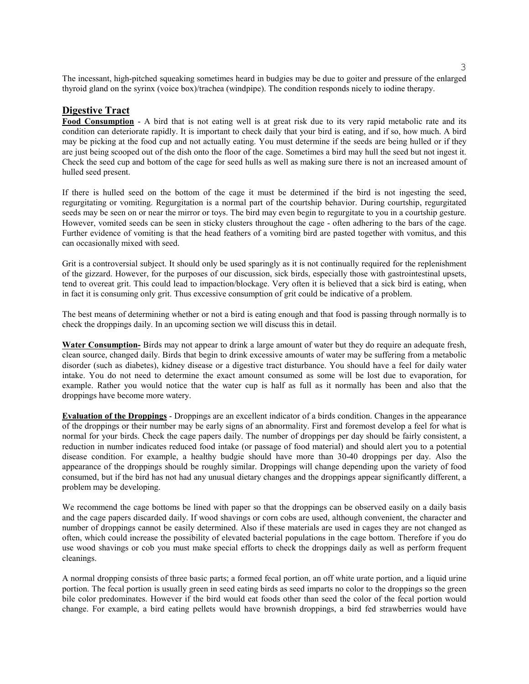The incessant, high-pitched squeaking sometimes heard in budgies may be due to goiter and pressure of the enlarged thyroid gland on the syrinx (voice box)/trachea (windpipe). The condition responds nicely to iodine therapy.

## **Digestive Tract**

**Food Consumption** - A bird that is not eating well is at great risk due to its very rapid metabolic rate and its condition can deteriorate rapidly. It is important to check daily that your bird is eating, and if so, how much. A bird may be picking at the food cup and not actually eating. You must determine if the seeds are being hulled or if they are just being scooped out of the dish onto the floor of the cage. Sometimes a bird may hull the seed but not ingest it. Check the seed cup and bottom of the cage for seed hulls as well as making sure there is not an increased amount of hulled seed present.

If there is hulled seed on the bottom of the cage it must be determined if the bird is not ingesting the seed, regurgitating or vomiting. Regurgitation is a normal part of the courtship behavior. During courtship, regurgitated seeds may be seen on or near the mirror or toys. The bird may even begin to regurgitate to you in a courtship gesture. However, vomited seeds can be seen in sticky clusters throughout the cage - often adhering to the bars of the cage. Further evidence of vomiting is that the head feathers of a vomiting bird are pasted together with vomitus, and this can occasionally mixed with seed.

Grit is a controversial subject. It should only be used sparingly as it is not continually required for the replenishment of the gizzard. However, for the purposes of our discussion, sick birds, especially those with gastrointestinal upsets, tend to overeat grit. This could lead to impaction/blockage. Very often it is believed that a sick bird is eating, when in fact it is consuming only grit. Thus excessive consumption of grit could be indicative of a problem.

The best means of determining whether or not a bird is eating enough and that food is passing through normally is to check the droppings daily. In an upcoming section we will discuss this in detail.

**Water Consumption-** Birds may not appear to drink a large amount of water but they do require an adequate fresh, clean source, changed daily. Birds that begin to drink excessive amounts of water may be suffering from a metabolic disorder (such as diabetes), kidney disease or a digestive tract disturbance. You should have a feel for daily water intake. You do not need to determine the exact amount consumed as some will be lost due to evaporation, for example. Rather you would notice that the water cup is half as full as it normally has been and also that the droppings have become more watery.

**Evaluation of the Droppings** - Droppings are an excellent indicator of a birds condition. Changes in the appearance of the droppings or their number may be early signs of an abnormality. First and foremost develop a feel for what is normal for your birds. Check the cage papers daily. The number of droppings per day should be fairly consistent, a reduction in number indicates reduced food intake (or passage of food material) and should alert you to a potential disease condition. For example, a healthy budgie should have more than 30-40 droppings per day. Also the appearance of the droppings should be roughly similar. Droppings will change depending upon the variety of food consumed, but if the bird has not had any unusual dietary changes and the droppings appear significantly different, a problem may be developing.

We recommend the cage bottoms be lined with paper so that the droppings can be observed easily on a daily basis and the cage papers discarded daily. If wood shavings or corn cobs are used, although convenient, the character and number of droppings cannot be easily determined. Also if these materials are used in cages they are not changed as often, which could increase the possibility of elevated bacterial populations in the cage bottom. Therefore if you do use wood shavings or cob you must make special efforts to check the droppings daily as well as perform frequent cleanings.

A normal dropping consists of three basic parts; a formed fecal portion, an off white urate portion, and a liquid urine portion. The fecal portion is usually green in seed eating birds as seed imparts no color to the droppings so the green bile color predominates. However if the bird would eat foods other than seed the color of the fecal portion would change. For example, a bird eating pellets would have brownish droppings, a bird fed strawberries would have